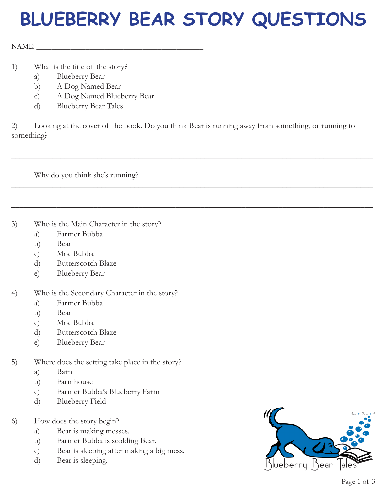## **BLUEBERRY BEAR STORY QUESTIONS**

 $NAME:$ 

- 1) What is the title of the story?
	- a) Blueberry Bear
	- b) A Dog Named Bear
	- c) A Dog Named Blueberry Bear
	- d) Blueberry Bear Tales

2) Looking at the cover of the book. Do you think Bear is running away from something, or running to something?

\_\_\_\_\_\_\_\_\_\_\_\_\_\_\_\_\_\_\_\_\_\_\_\_\_\_\_\_\_\_\_\_\_\_\_\_\_\_\_\_\_\_\_\_\_\_\_\_\_\_\_\_\_\_\_\_\_\_\_\_\_\_\_\_\_\_\_\_\_\_\_\_\_\_\_\_\_\_\_\_\_\_\_\_\_\_\_\_

\_\_\_\_\_\_\_\_\_\_\_\_\_\_\_\_\_\_\_\_\_\_\_\_\_\_\_\_\_\_\_\_\_\_\_\_\_\_\_\_\_\_\_\_\_\_\_\_\_\_\_\_\_\_\_\_\_\_\_\_\_\_\_\_\_\_\_\_\_\_\_\_\_\_\_\_\_\_\_\_\_\_\_\_\_\_\_\_

\_\_\_\_\_\_\_\_\_\_\_\_\_\_\_\_\_\_\_\_\_\_\_\_\_\_\_\_\_\_\_\_\_\_\_\_\_\_\_\_\_\_\_\_\_\_\_\_\_\_\_\_\_\_\_\_\_\_\_\_\_\_\_\_\_\_\_\_\_\_\_\_\_\_\_\_\_\_\_\_\_\_\_\_\_\_\_\_

Why do you think she's running?

3) Who is the Main Character in the story?

- a) Farmer Bubba
- b) Bear
- c) Mrs. Bubba
- d) Butterscotch Blaze
- e) Blueberry Bear
- 4) Who is the Secondary Character in the story?
	- a) Farmer Bubba
	- b) Bear
	- c) Mrs. Bubba
	- d) Butterscotch Blaze
	- e) Blueberry Bear
- 5) Where does the setting take place in the story?
	- a) Barn
	- b) Farmhouse
	- c) Farmer Bubba's Blueberry Farm
	- d) Blueberry Field
- 6) How does the story begin?
	- a) Bear is making messes.
	- b) Farmer Bubba is scolding Bear.
	- c) Bear is sleeping after making a big mess.
	- d) Bear is sleeping.

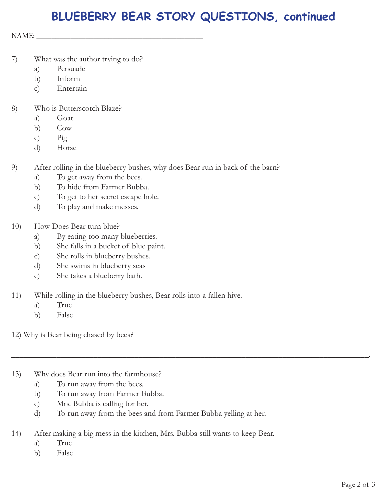## **BLUEBERRY BEAR STORY QUESTIONS, continued**

NAME: \_\_\_\_\_\_\_\_\_\_\_\_\_\_\_\_\_\_\_\_\_\_\_\_\_\_\_\_\_\_\_\_\_\_\_\_\_\_\_\_\_\_\_\_

- 7) What was the author trying to do?
	- a) Persuade
	- b) Inform
	- c) Entertain
- 8) Who is Butterscotch Blaze?
	- a) Goat
	- b) Cow
	- c) Pig
	- d) Horse
- 9) After rolling in the blueberry bushes, why does Bear run in back of the barn?
	- a) To get away from the bees.
	- b) To hide from Farmer Bubba.
	- c) To get to her secret escape hole.
	- d) To play and make messes.
- 10) How Does Bear turn blue?
	- a) By eating too many blueberries.
	- b) She falls in a bucket of blue paint.
	- c) She rolls in blueberry bushes.
	- d) She swims in blueberry seas
	- e) She takes a blueberry bath.
- 11) While rolling in the blueberry bushes, Bear rolls into a fallen hive.
	- a) True
	- b) False

12) Why is Bear being chased by bees?

- 13) Why does Bear run into the farmhouse?
	- a) To run away from the bees.
	- b) To run away from Farmer Bubba.
	- c) Mrs. Bubba is calling for her.
	- d) To run away from the bees and from Farmer Bubba yelling at her.

\_\_\_\_\_\_\_\_\_\_\_\_\_\_\_\_\_\_\_\_\_\_\_\_\_\_\_\_\_\_\_\_\_\_\_\_\_\_\_\_\_\_\_\_\_\_\_\_\_\_\_\_\_\_\_\_\_\_\_\_\_\_\_\_\_\_\_\_\_\_\_\_\_\_\_\_\_\_\_\_\_\_\_\_\_\_\_.

- 14) After making a big mess in the kitchen, Mrs. Bubba still wants to keep Bear.
	- a) True
	- b) False